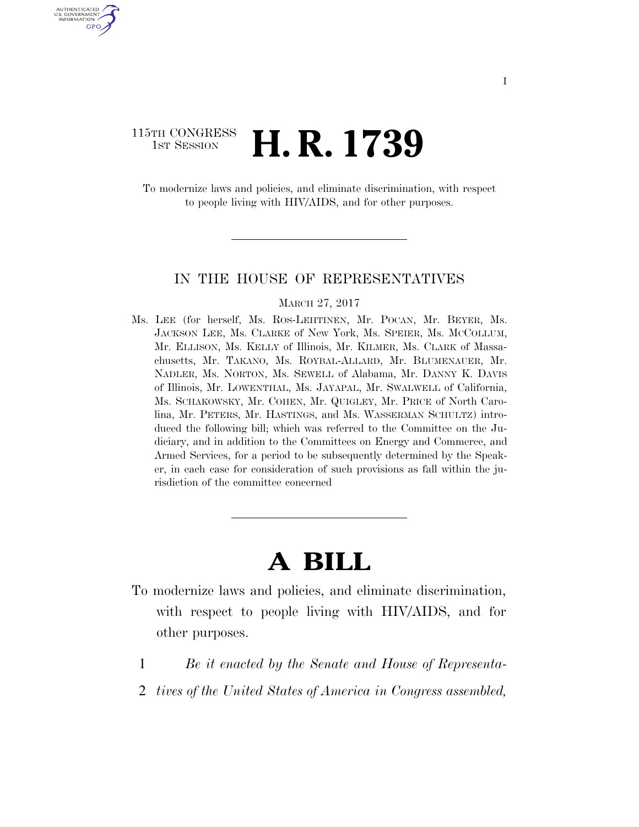## 115TH CONGRESS **1st Session H. R. 1739**

U.S. GOVERNMENT GPO

> To modernize laws and policies, and eliminate discrimination, with respect to people living with HIV/AIDS, and for other purposes.

#### IN THE HOUSE OF REPRESENTATIVES

#### MARCH 27, 2017

Ms. LEE (for herself, Ms. ROS-LEHTINEN, Mr. POCAN, Mr. BEYER, Ms. JACKSON LEE, Ms. CLARKE of New York, Ms. SPEIER, Ms. MCCOLLUM, Mr. ELLISON, Ms. KELLY of Illinois, Mr. KILMER, Ms. CLARK of Massachusetts, Mr. TAKANO, Ms. ROYBAL-ALLARD, Mr. BLUMENAUER, Mr. NADLER, Ms. NORTON, Ms. SEWELL of Alabama, Mr. DANNY K. DAVIS of Illinois, Mr. LOWENTHAL, Ms. JAYAPAL, Mr. SWALWELL of California, Ms. SCHAKOWSKY, Mr. COHEN, Mr. QUIGLEY, Mr. PRICE of North Carolina, Mr. PETERS, Mr. HASTINGS, and Ms. WASSERMAN SCHULTZ) introduced the following bill; which was referred to the Committee on the Judiciary, and in addition to the Committees on Energy and Commerce, and Armed Services, for a period to be subsequently determined by the Speaker, in each case for consideration of such provisions as fall within the jurisdiction of the committee concerned

# **A BILL**

- To modernize laws and policies, and eliminate discrimination, with respect to people living with HIV/AIDS, and for other purposes.
	- 1 *Be it enacted by the Senate and House of Representa-*
	- 2 *tives of the United States of America in Congress assembled,*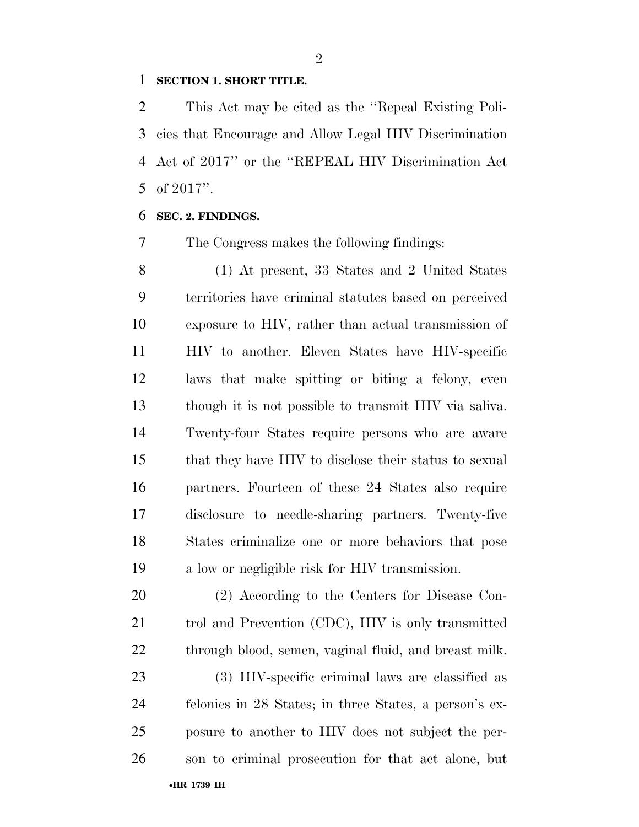### **SECTION 1. SHORT TITLE.**

 This Act may be cited as the ''Repeal Existing Poli- cies that Encourage and Allow Legal HIV Discrimination Act of 2017'' or the ''REPEAL HIV Discrimination Act of 2017''.

#### **SEC. 2. FINDINGS.**

The Congress makes the following findings:

 (1) At present, 33 States and 2 United States territories have criminal statutes based on perceived exposure to HIV, rather than actual transmission of HIV to another. Eleven States have HIV-specific laws that make spitting or biting a felony, even though it is not possible to transmit HIV via saliva. Twenty-four States require persons who are aware that they have HIV to disclose their status to sexual partners. Fourteen of these 24 States also require disclosure to needle-sharing partners. Twenty-five States criminalize one or more behaviors that pose a low or negligible risk for HIV transmission.

 (2) According to the Centers for Disease Con- trol and Prevention (CDC), HIV is only transmitted through blood, semen, vaginal fluid, and breast milk.

 (3) HIV-specific criminal laws are classified as felonies in 28 States; in three States, a person's ex- posure to another to HIV does not subject the per-son to criminal prosecution for that act alone, but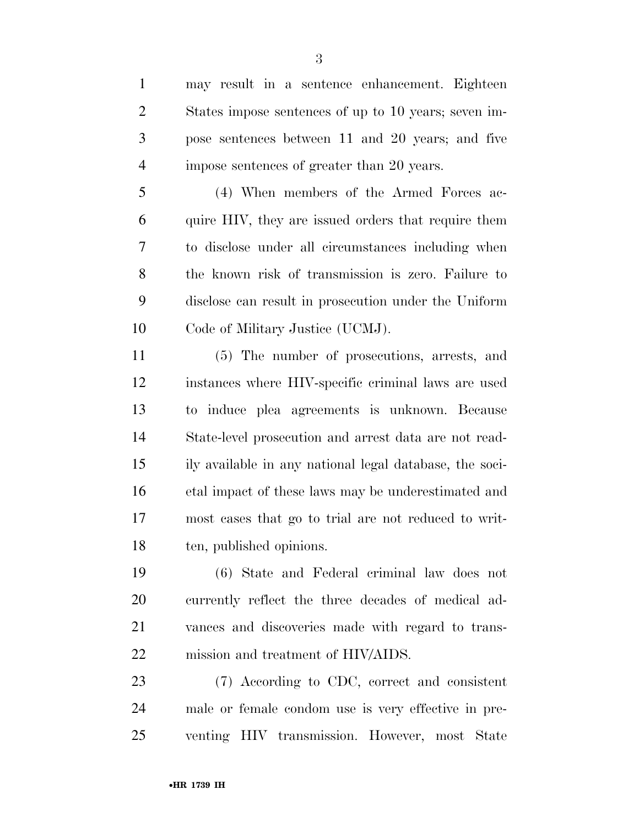Code of Military Justice (UCMJ). (5) The number of prosecutions, arrests, and instances where HIV-specific criminal laws are used to induce plea agreements is unknown. Because State-level prosecution and arrest data are not read- ily available in any national legal database, the soci- etal impact of these laws may be underestimated and most cases that go to trial are not reduced to writ- ten, published opinions. (6) State and Federal criminal law does not currently reflect the three decades of medical ad- vances and discoveries made with regard to trans- mission and treatment of HIV/AIDS. (7) According to CDC, correct and consistent male or female condom use is very effective in pre-venting HIV transmission. However, most State

 may result in a sentence enhancement. Eighteen States impose sentences of up to 10 years; seven im- pose sentences between 11 and 20 years; and five impose sentences of greater than 20 years.

(4) When members of the Armed Forces ac-

quire HIV, they are issued orders that require them

to disclose under all circumstances including when

the known risk of transmission is zero. Failure to

disclose can result in prosecution under the Uniform

•**HR 1739 IH**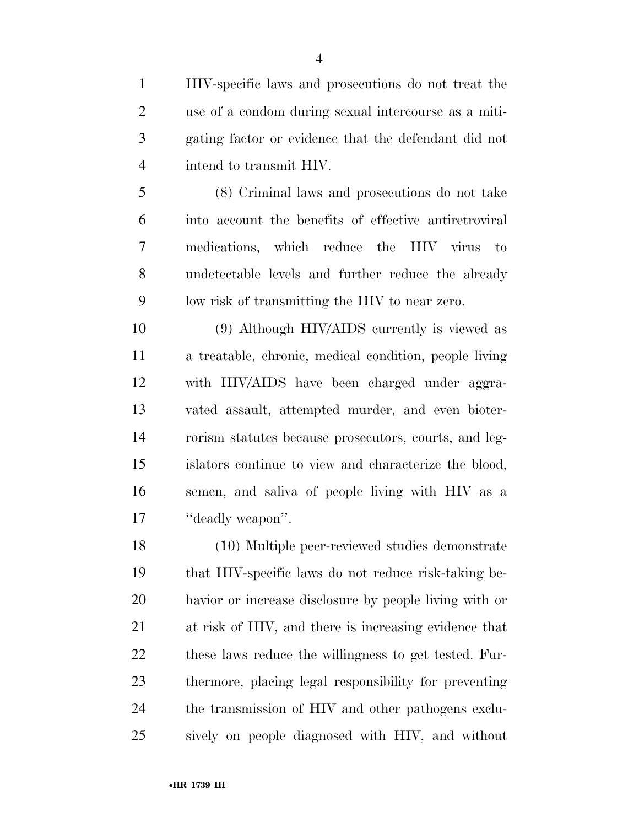HIV-specific laws and prosecutions do not treat the use of a condom during sexual intercourse as a miti- gating factor or evidence that the defendant did not intend to transmit HIV.

 (8) Criminal laws and prosecutions do not take into account the benefits of effective antiretroviral medications, which reduce the HIV virus to undetectable levels and further reduce the already low risk of transmitting the HIV to near zero.

 (9) Although HIV/AIDS currently is viewed as a treatable, chronic, medical condition, people living with HIV/AIDS have been charged under aggra- vated assault, attempted murder, and even bioter- rorism statutes because prosecutors, courts, and leg- islators continue to view and characterize the blood, semen, and saliva of people living with HIV as a 17 "deadly weapon".

 (10) Multiple peer-reviewed studies demonstrate that HIV-specific laws do not reduce risk-taking be- havior or increase disclosure by people living with or at risk of HIV, and there is increasing evidence that these laws reduce the willingness to get tested. Fur- thermore, placing legal responsibility for preventing the transmission of HIV and other pathogens exclu-sively on people diagnosed with HIV, and without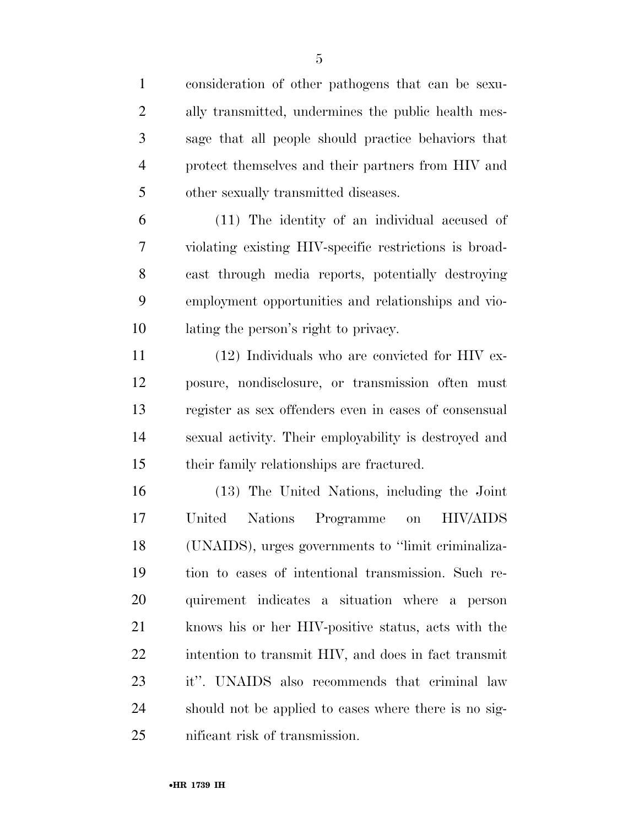consideration of other pathogens that can be sexu- ally transmitted, undermines the public health mes- sage that all people should practice behaviors that protect themselves and their partners from HIV and other sexually transmitted diseases.

 (11) The identity of an individual accused of violating existing HIV-specific restrictions is broad- cast through media reports, potentially destroying employment opportunities and relationships and vio-lating the person's right to privacy.

 (12) Individuals who are convicted for HIV ex- posure, nondisclosure, or transmission often must register as sex offenders even in cases of consensual sexual activity. Their employability is destroyed and their family relationships are fractured.

 (13) The United Nations, including the Joint United Nations Programme on HIV/AIDS (UNAIDS), urges governments to ''limit criminaliza- tion to cases of intentional transmission. Such re- quirement indicates a situation where a person knows his or her HIV-positive status, acts with the intention to transmit HIV, and does in fact transmit it''. UNAIDS also recommends that criminal law should not be applied to cases where there is no sig-nificant risk of transmission.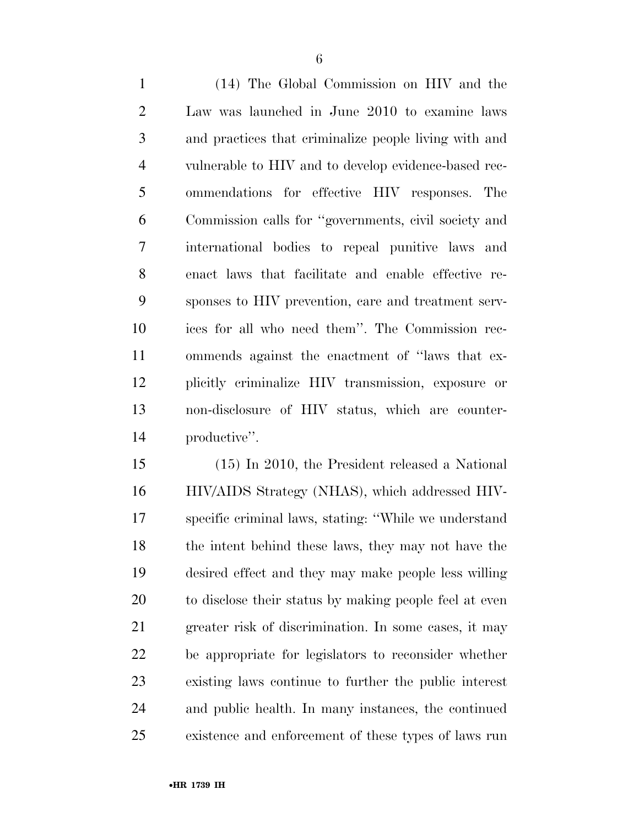(14) The Global Commission on HIV and the Law was launched in June 2010 to examine laws and practices that criminalize people living with and vulnerable to HIV and to develop evidence-based rec- ommendations for effective HIV responses. The Commission calls for ''governments, civil society and international bodies to repeal punitive laws and enact laws that facilitate and enable effective re- sponses to HIV prevention, care and treatment serv- ices for all who need them''. The Commission rec- ommends against the enactment of ''laws that ex- plicitly criminalize HIV transmission, exposure or non-disclosure of HIV status, which are counter-productive''.

 (15) In 2010, the President released a National HIV/AIDS Strategy (NHAS), which addressed HIV- specific criminal laws, stating: ''While we understand the intent behind these laws, they may not have the desired effect and they may make people less willing to disclose their status by making people feel at even greater risk of discrimination. In some cases, it may be appropriate for legislators to reconsider whether existing laws continue to further the public interest and public health. In many instances, the continued existence and enforcement of these types of laws run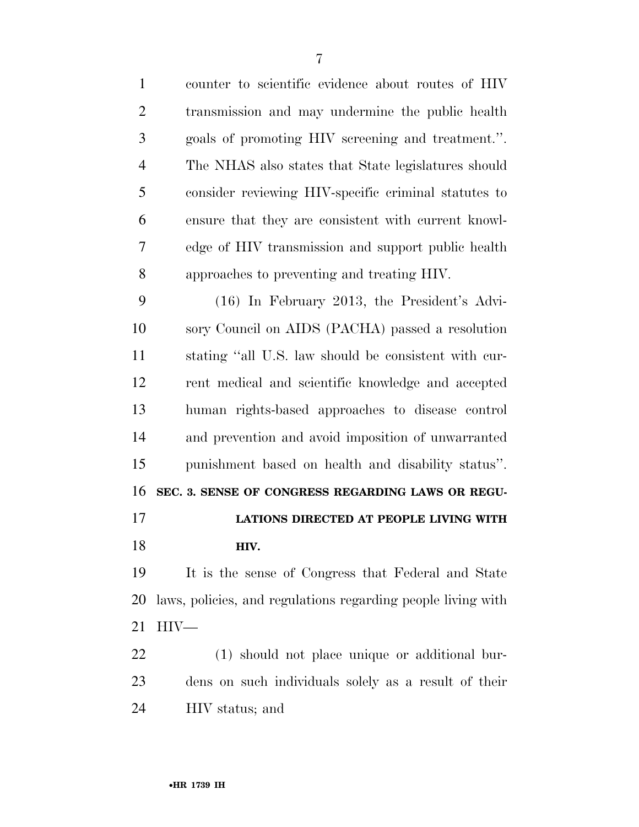| $\mathbf{1}$   | counter to scientific evidence about routes of HIV           |
|----------------|--------------------------------------------------------------|
| $\overline{2}$ | transmission and may undermine the public health             |
| 3              | goals of promoting HIV screening and treatment.".            |
| $\overline{4}$ | The NHAS also states that State legislatures should          |
| 5              | consider reviewing HIV-specific criminal statutes to         |
| 6              | ensure that they are consistent with current knowl-          |
| $\overline{7}$ | edge of HIV transmission and support public health           |
| 8              | approaches to preventing and treating HIV.                   |
| 9              | $(16)$ In February 2013, the President's Advi-               |
| 10             | sory Council on AIDS (PACHA) passed a resolution             |
| 11             | stating "all U.S. law should be consistent with cur-         |
| 12             | rent medical and scientific knowledge and accepted           |
| 13             | human rights-based approaches to disease control             |
| 14             | and prevention and avoid imposition of unwarranted           |
| 15             | punishment based on health and disability status".           |
| 16             | SEC. 3. SENSE OF CONGRESS REGARDING LAWS OR REGU-            |
| 17             | LATIONS DIRECTED AT PEOPLE LIVING WITH                       |
| 18             | HIV.                                                         |
| 19             | It is the sense of Congress that Federal and State           |
| 20             | laws, policies, and regulations regarding people living with |
| 21             | $\rm{HIV}$ —                                                 |
| 22             | (1) should not place unique or additional bur-               |
| 23             | dens on such individuals solely as a result of their         |
| 24             | HIV status; and                                              |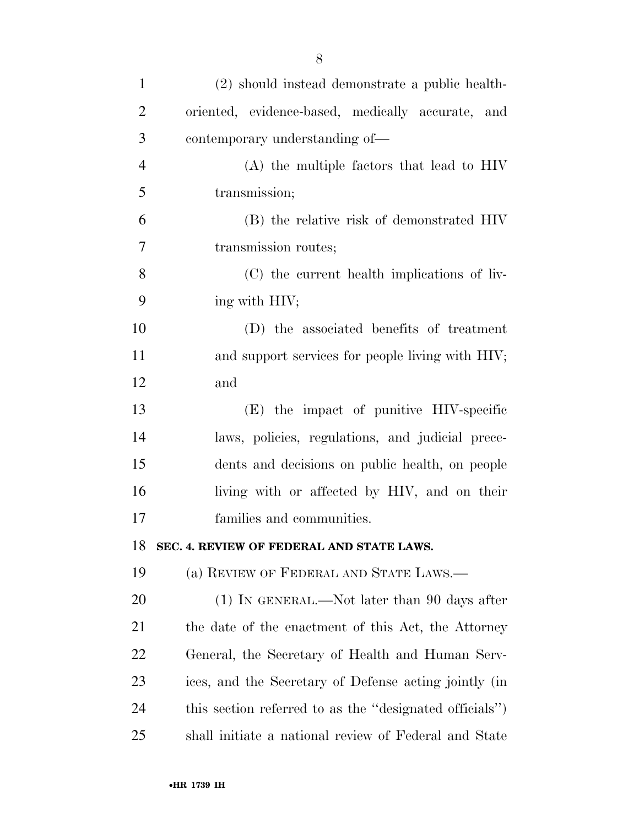| $\mathbf{1}$   | (2) should instead demonstrate a public health-         |
|----------------|---------------------------------------------------------|
| $\overline{2}$ | oriented, evidence-based, medically accurate, and       |
| 3              | contemporary understanding of—                          |
| $\overline{4}$ | (A) the multiple factors that lead to HIV               |
| 5              | transmission;                                           |
| 6              | (B) the relative risk of demonstrated HIV               |
| 7              | transmission routes;                                    |
| 8              | (C) the current health implications of liv-             |
| 9              | ing with HIV;                                           |
| 10             | (D) the associated benefits of treatment                |
| 11             | and support services for people living with HIV;        |
| 12             | and                                                     |
| 13             | (E) the impact of punitive HIV-specific                 |
| 14             | laws, policies, regulations, and judicial prece-        |
| 15             | dents and decisions on public health, on people         |
| 16             | living with or affected by HIV, and on their            |
| 17             | families and communities.                               |
| 18             | SEC. 4. REVIEW OF FEDERAL AND STATE LAWS                |
| 19             | (a) REVIEW OF FEDERAL AND STATE LAWS.—                  |
| 20             | $(1)$ In GENERAL.—Not later than 90 days after          |
| 21             | the date of the enactment of this Act, the Attorney     |
| <u>22</u>      | General, the Secretary of Health and Human Serv-        |
| 23             | ices, and the Secretary of Defense acting jointly (in   |
| 24             | this section referred to as the "designated officials") |
| 25             | shall initiate a national review of Federal and State   |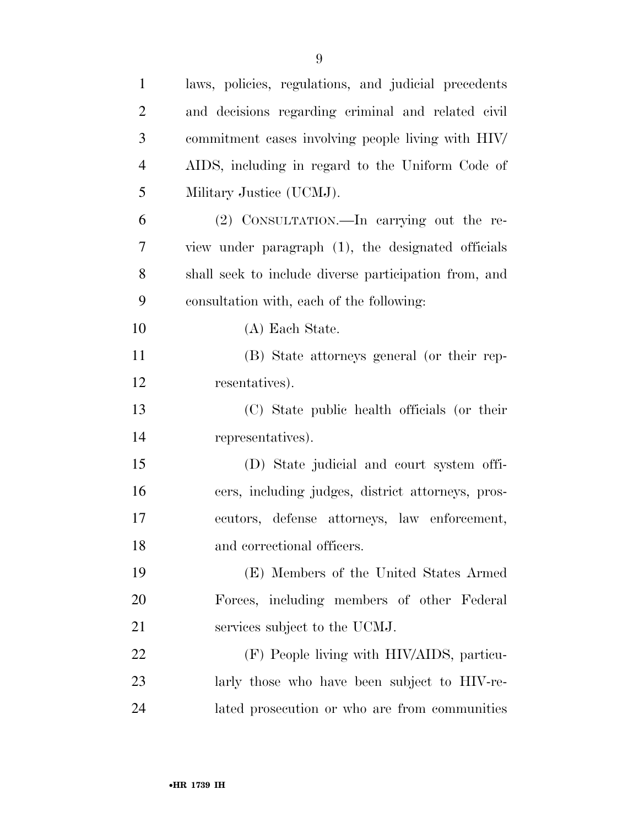| $\mathbf{1}$   | laws, policies, regulations, and judicial precedents  |
|----------------|-------------------------------------------------------|
| $\overline{2}$ | and decisions regarding criminal and related civil    |
| 3              | commitment cases involving people living with HIV/    |
| $\overline{4}$ | AIDS, including in regard to the Uniform Code of      |
| 5              | Military Justice (UCMJ).                              |
| 6              | (2) CONSULTATION.—In carrying out the re-             |
| 7              | view under paragraph (1), the designated officials    |
| 8              | shall seek to include diverse participation from, and |
| 9              | consultation with, each of the following:             |
| 10             | (A) Each State.                                       |
| 11             | (B) State attorneys general (or their rep-            |
| 12             | resentatives).                                        |
| 13             | (C) State public health officials (or their           |
| 14             | representatives).                                     |
| 15             | (D) State judicial and court system offi-             |
| 16             | cers, including judges, district attorneys, pros-     |
| 17             | ecutors, defense attorneys, law enforcement,          |
| 18             | and correctional officers.                            |
| 19             | (E) Members of the United States Armed                |
| 20             | Forces, including members of other Federal            |
| 21             | services subject to the UCMJ.                         |
| <u>22</u>      | (F) People living with HIV/AIDS, particu-             |
| 23             | larly those who have been subject to HIV-re-          |
| 24             | lated prosecution or who are from communities         |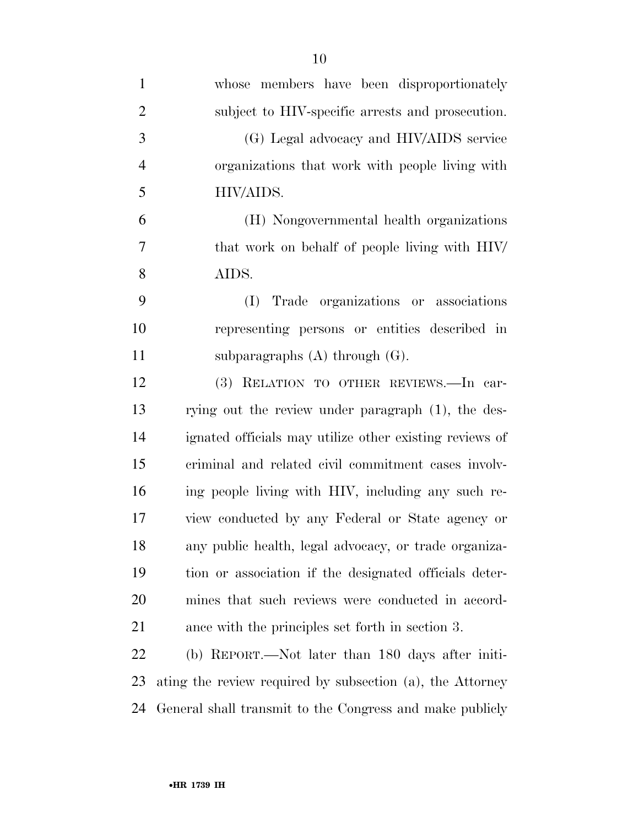| $\mathbf{1}$   | whose members have been disproportionately                |
|----------------|-----------------------------------------------------------|
|                |                                                           |
| $\overline{2}$ | subject to HIV-specific arrests and prosecution.          |
| 3              | (G) Legal advocacy and HIV/AIDS service                   |
| $\overline{4}$ | organizations that work with people living with           |
| 5              | HIV/AIDS.                                                 |
| 6              | (H) Nongovernmental health organizations                  |
| 7              | that work on behalf of people living with HIV/            |
| 8              | AIDS.                                                     |
| 9              | (I) Trade organizations or associations                   |
| 10             | representing persons or entities described in             |
| 11             | subparagraphs $(A)$ through $(G)$ .                       |
| 12             | (3) RELATION TO OTHER REVIEWS.-In car-                    |
| 13             | rying out the review under paragraph (1), the des-        |
| 14             | ignated officials may utilize other existing reviews of   |
| 15             | criminal and related civil commitment cases involv-       |
| 16             | ing people living with HIV, including any such re-        |
| 17             | view conducted by any Federal or State agency or          |
| 18             | any public health, legal advocacy, or trade organiza-     |
| 19             | tion or association if the designated officials deter-    |
| 20             | mines that such reviews were conducted in accord-         |
| 21             | ance with the principles set forth in section 3.          |
| 22             | (b) REPORT.—Not later than 180 days after initi-          |
| 23             | ating the review required by subsection (a), the Attorney |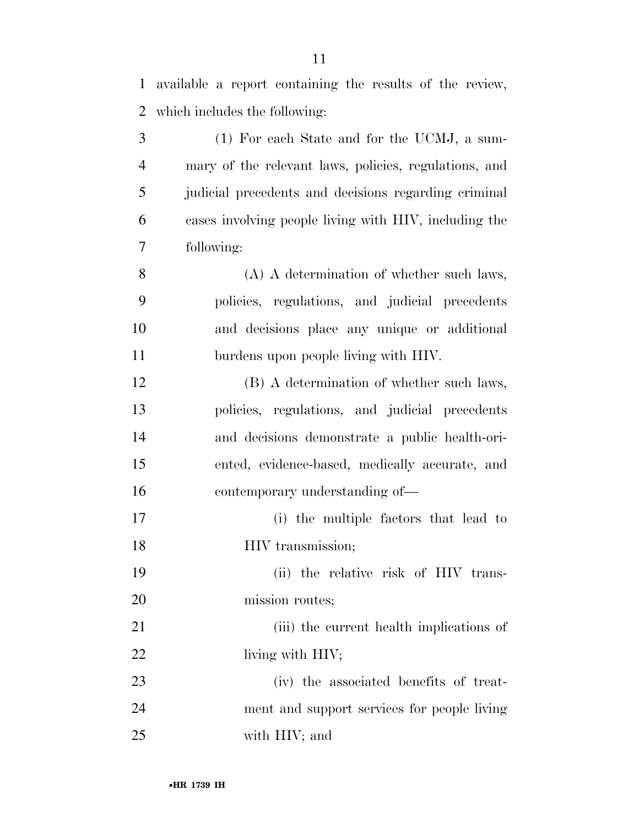available a report containing the results of the review,

which includes the following:

| 3              | (1) For each State and for the UCMJ, a sum-           |
|----------------|-------------------------------------------------------|
| $\overline{4}$ | mary of the relevant laws, policies, regulations, and |
| 5              | judicial precedents and decisions regarding criminal  |
| 6              | cases involving people living with HIV, including the |
| 7              | following:                                            |
| 8              | (A) A determination of whether such laws,             |
| 9              | policies, regulations, and judicial precedents        |
| 10             | and decisions place any unique or additional          |
| 11             | burdens upon people living with HIV.                  |
| 12             | (B) A determination of whether such laws,             |
| 13             | policies, regulations, and judicial precedents        |
| 14             | and decisions demonstrate a public health-ori-        |
| 15             | ented, evidence-based, medically accurate, and        |
| 16             | contemporary understanding of—                        |
| 17             | (i) the multiple factors that lead to                 |
| 18             | HIV transmission;                                     |
| 19             | (ii) the relative risk of HIV trans-                  |
| 20             | mission routes;                                       |
| 21             | (iii) the current health implications of              |

- 22 living with HIV;
- (iv) the associated benefits of treat- ment and support services for people living with HIV; and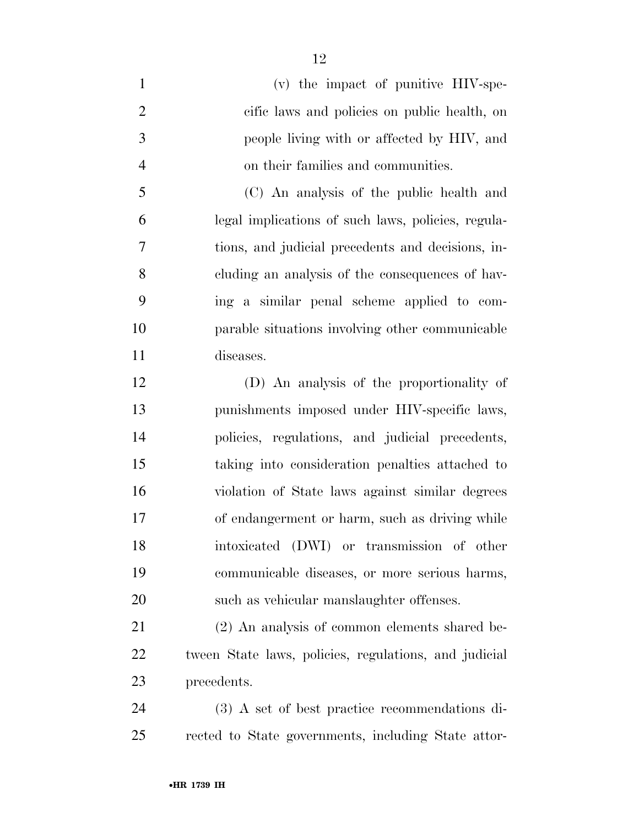(v) the impact of punitive HIV-spe- cific laws and policies on public health, on people living with or affected by HIV, and on their families and communities.

 (C) An analysis of the public health and legal implications of such laws, policies, regula- tions, and judicial precedents and decisions, in- cluding an analysis of the consequences of hav- ing a similar penal scheme applied to com- parable situations involving other communicable diseases.

 (D) An analysis of the proportionality of punishments imposed under HIV-specific laws, policies, regulations, and judicial precedents, taking into consideration penalties attached to violation of State laws against similar degrees of endangerment or harm, such as driving while intoxicated (DWI) or transmission of other communicable diseases, or more serious harms, such as vehicular manslaughter offenses.

 (2) An analysis of common elements shared be- tween State laws, policies, regulations, and judicial precedents.

 (3) A set of best practice recommendations di-rected to State governments, including State attor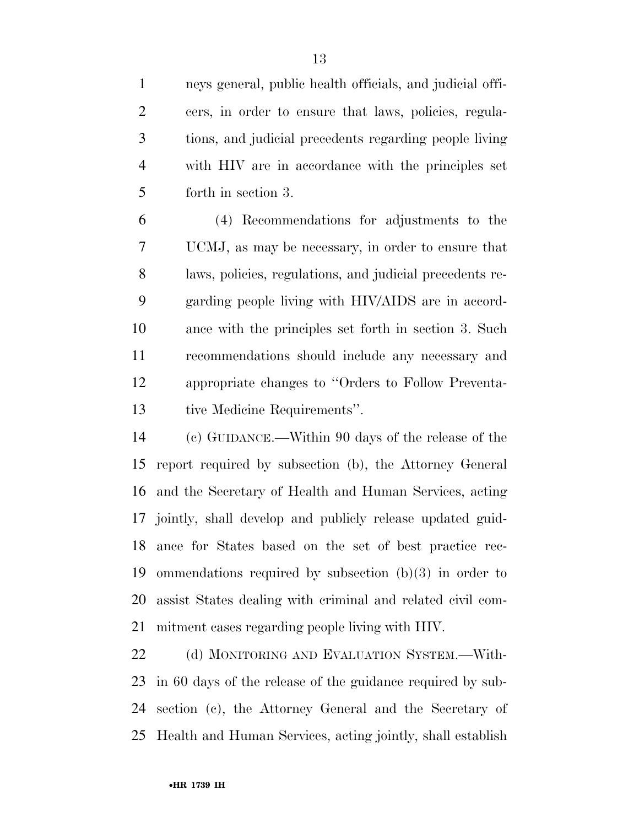neys general, public health officials, and judicial offi- cers, in order to ensure that laws, policies, regula- tions, and judicial precedents regarding people living with HIV are in accordance with the principles set forth in section 3.

 (4) Recommendations for adjustments to the UCMJ, as may be necessary, in order to ensure that laws, policies, regulations, and judicial precedents re- garding people living with HIV/AIDS are in accord- ance with the principles set forth in section 3. Such recommendations should include any necessary and appropriate changes to ''Orders to Follow Preventa-tive Medicine Requirements''.

 (c) GUIDANCE.—Within 90 days of the release of the report required by subsection (b), the Attorney General and the Secretary of Health and Human Services, acting jointly, shall develop and publicly release updated guid- ance for States based on the set of best practice rec- ommendations required by subsection (b)(3) in order to assist States dealing with criminal and related civil com-mitment cases regarding people living with HIV.

22 (d) MONITORING AND EVALUATION SYSTEM.—With- in 60 days of the release of the guidance required by sub- section (c), the Attorney General and the Secretary of Health and Human Services, acting jointly, shall establish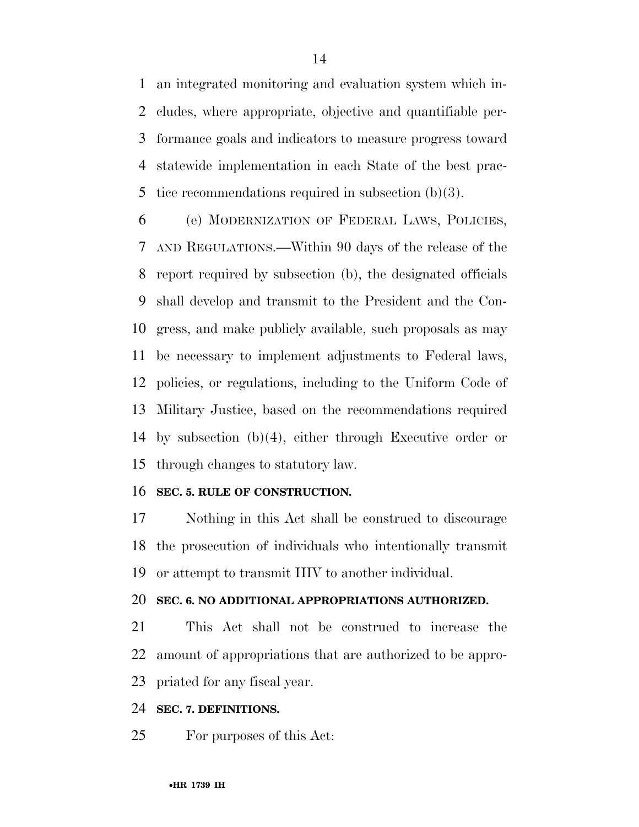an integrated monitoring and evaluation system which in- cludes, where appropriate, objective and quantifiable per- formance goals and indicators to measure progress toward statewide implementation in each State of the best prac-tice recommendations required in subsection (b)(3).

 (e) MODERNIZATION OF FEDERAL LAWS, POLICIES, AND REGULATIONS.—Within 90 days of the release of the report required by subsection (b), the designated officials shall develop and transmit to the President and the Con- gress, and make publicly available, such proposals as may be necessary to implement adjustments to Federal laws, policies, or regulations, including to the Uniform Code of Military Justice, based on the recommendations required by subsection (b)(4), either through Executive order or through changes to statutory law.

#### **SEC. 5. RULE OF CONSTRUCTION.**

 Nothing in this Act shall be construed to discourage the prosecution of individuals who intentionally transmit or attempt to transmit HIV to another individual.

### **SEC. 6. NO ADDITIONAL APPROPRIATIONS AUTHORIZED.**

 This Act shall not be construed to increase the amount of appropriations that are authorized to be appro-priated for any fiscal year.

#### **SEC. 7. DEFINITIONS.**

For purposes of this Act: